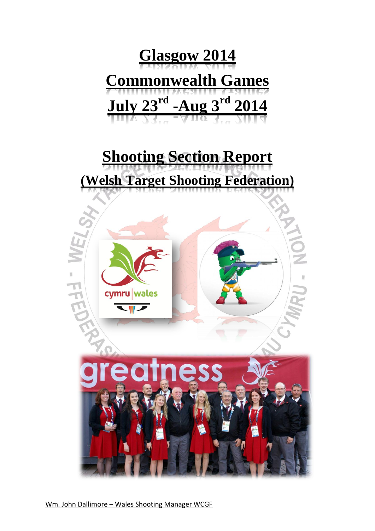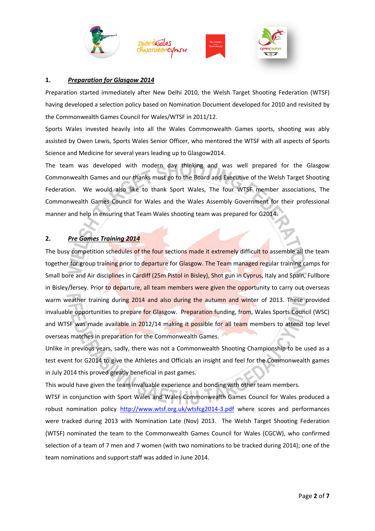







### **1.** *Preparation for Glasgow 2014*

Preparation started immediately after New Delhi 2010, the Welsh Target Shooting Federation (WTSF) having developed a selection policy based on Nomination Document developed for 2010 and revisited by the Commonwealth Games Council for Wales/WTSF in 2011/12.

Sports Wales invested heavily into all the Wales Commonwealth Games sports, shooting was ably assisted by Owen Lewis, Sports Wales Senior Officer, who mentored the WTSF with all aspects of Sports Science and Medicine for several years leading up to Glasgow2014.

The team was developed with modern day thinking and was well prepared for the Glasgow Commonwealth Games and our thanks must go to the Board and Executive of the Welsh Target Shooting Federation. We would also like to thank Sport Wales, The four WTSF member associations, The Commonwealth Games Council for Wales and the Wales Assembly Government for their professional manner and help in ensuring that Team Wales shooting team was prepared for G2014.

# **2.** *Pre Games Training 2014*

The busy competition schedules of the four sections made it extremely difficult to assemble all the team together for group training prior to departure for Glasgow. The Team managed regular training camps for Small bore and Air disciplines in Cardiff (25m Pistol in Bisley), Shot gun in Cyprus, Italy and Spain, Fullbore in Bisley/Jersey. Prior to departure, all team members were given the opportunity to carry out overseas warm weather training during 2014 and also during the autumn and winter of 2013. These provided invaluable opportunities to prepare for Glasgow. Preparation funding, from, Wales Sports Council (WSC) and WTSF was made available in 2012/14 making it possible for all team members to attend top level overseas matches in preparation for the Commonwealth Games.

Unlike in previous years, sadly, there was not a Commonwealth Shooting Championship to be used as a test event for G2014 to give the Athletes and Officials an insight and feel for the Commonwealth games in July 2014 this proved greatly beneficial in past games.

This would have given the team invaluable experience and bonding with other team members.

WTSF in conjunction with Sport Wales and Wales Commonwealth Games Council for Wales produced a robust nomination policy <http://www.wtsf.org.uk/wtsfcg2014-3.pdf> where scores and performances were tracked during 2013 with Nomination Late (Nov) 2013. The Welsh Target Shooting Federation (WTSF) nominated the team to the Commonwealth Games Council for Wales (CGCW), who confirmed selection of a team of 7 men and 7 women (with two nominations to be tracked during 2014); one of the team nominations and support staff was added in June 2014.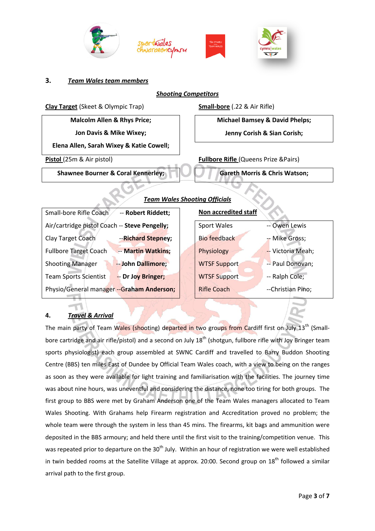







#### **3.** *Team Wales team members*

## *Shooting Competitors*



### **4.** *Travel & Arrival*

The main party of Team Wales (shooting) departed in two groups from Cardiff first on July 13<sup>th</sup> (Smallbore cartridge and air rifle/pistol) and a second on July 18<sup>th</sup> (shotgun, fullbore rifle with Joy Bringer team sports physiologist) each group assembled at SWNC Cardiff and travelled to Barry Buddon Shooting Centre (BBS) ten miles East of Dundee by Official Team Wales coach, with a view to being on the ranges as soon as they were available for light training and familiarisation with the facilities. The journey time was about nine hours, was uneventful and considering the distance, none too tiring for both groups. The first group to BBS were met by Graham Anderson one of the Team Wales managers allocated to Team Wales Shooting. With Grahams help Firearm registration and Accreditation proved no problem; the whole team were through the system in less than 45 mins. The firearms, kit bags and ammunition were deposited in the BBS armoury; and held there until the first visit to the training/competition venue. This was repeated prior to departure on the 30<sup>th</sup> July. Within an hour of registration we were well established in twin bedded rooms at the Satellite Village at approx. 20:00. Second group on  $18<sup>th</sup>$  followed a similar arrival path to the first group.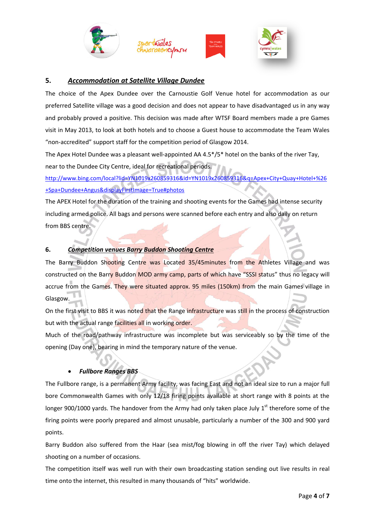







## **5.** *Accommodation at Satellite Village Dundee*

The choice of the Apex Dundee over the Carnoustie Golf Venue hotel for accommodation as our preferred Satellite village was a good decision and does not appear to have disadvantaged us in any way and probably proved a positive. This decision was made after WTSF Board members made a pre Games visit in May 2013, to look at both hotels and to choose a Guest house to accommodate the Team Wales "non-accredited" support staff for the competition period of Glasgow 2014.

The Apex Hotel Dundee was a pleasant well-appointed AA 4.5\*/5\* hotel on the banks of the river Tay, near to the Dundee City Centre, ideal for recreational periods.

[http://www.bing.com/local?lid=YN1019x260859316&id=YN1019x260859316&q=Apex+City+Quay+Hotel+%26](http://www.bing.com/local?lid=YN1019x260859316&id=YN1019x260859316&q=Apex+City+Quay+Hotel+%26+Spa+Dundee+Angus&displayFirstImage=True#photos) [+Spa+Dundee+Angus&displayFirstImage=True#photos](http://www.bing.com/local?lid=YN1019x260859316&id=YN1019x260859316&q=Apex+City+Quay+Hotel+%26+Spa+Dundee+Angus&displayFirstImage=True#photos)

The APEX Hotel for the duration of the training and shooting events for the Games had intense security including armed police. All bags and persons were scanned before each entry and also daily on return from BBS centre.

## **6.** *Competition venues Barry Buddon Shooting Centre*

The Barry Buddon Shooting Centre was Located 35/45minutes from the Athletes Village and was constructed on the Barry Buddon MOD army camp, parts of which have "SSSI status" thus no legacy will accrue from the Games. They were situated approx. 95 miles (150km) from the main Games village in Glasgow.

On the first visit to BBS it was noted that the Range infrastructure was still in the process of construction but with the actual range facilities all in working order.

Much of the road/pathway infrastructure was incomplete but was serviceably so by the time of the opening (Day one), bearing in mind the temporary nature of the venue.

# *Fullbore Ranges BBS*

The Fullbore range, is a permanent Army facility, was facing East and not an ideal size to run a major full bore Commonwealth Games with only 12/18 firing points available at short range with 8 points at the longer 900/1000 yards. The handover from the Army had only taken place July  $1<sup>st</sup>$  therefore some of the firing points were poorly prepared and almost unusable, particularly a number of the 300 and 900 yard points.

Barry Buddon also suffered from the Haar (sea mist/fog blowing in off the river Tay) which delayed shooting on a number of occasions.

The competition itself was well run with their own broadcasting station sending out live results in real time onto the internet, this resulted in many thousands of "hits" worldwide.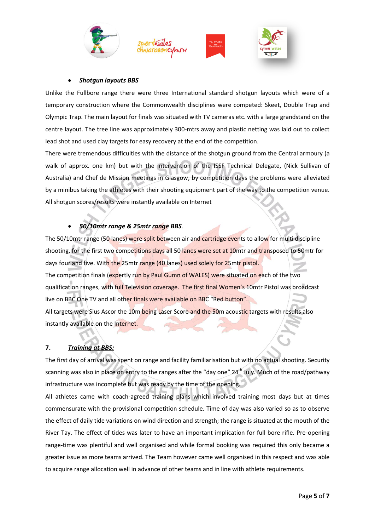







#### *Shotgun layouts BBS*

Unlike the Fullbore range there were three International standard shotgun layouts which were of a temporary construction where the Commonwealth disciplines were competed: Skeet, Double Trap and Olympic Trap. The main layout for finals was situated with TV cameras etc. with a large grandstand on the centre layout. The tree line was approximately 300-mtrs away and plastic netting was laid out to collect lead shot and used clay targets for easy recovery at the end of the competition.

There were tremendous difficulties with the distance of the shotgun ground from the Central armoury (a walk of approx. one km) but with the intervention of the ISSF Technical Delegate, (Nick Sullivan of Australia) and Chef de Mission meetings in Glasgow, by competition days the problems were alleviated by a minibus taking the athletes with their shooting equipment part of the way to the competition venue. All shotgun scores/results were instantly available on Internet

# *50/10mtr range & 25mtr range BBS.*

The 50/10mtr range (50 lanes) were split between air and cartridge events to allow for multi discipline shooting, for the first two competitions days all 50 lanes were set at 10mtr and transposed to 50mtr for days four and five. With the 25mtr range (40 lanes) used solely for 25mtr pistol. The competition finals (expertly run by Paul Gumn of WALES) were situated on each of the two qualification ranges, with full Television coverage. The first final Women's 10mtr Pistol was broadcast live on BBC One TV and all other finals were available on BBC "Red button". All targets were Sius Ascor the 10m being Laser Score and the 50m acoustic targets with results also instantly available on the Internet.

### **7.** *Training at BBS:*

The first day of arrival was spent on range and facility familiarisation but with no actual shooting. Security scanning was also in place on entry to the ranges after the "day one" 24<sup>th</sup> July. Much of the road/pathway infrastructure was incomplete but was ready by the time of the opening.

All athletes came with coach-agreed training plans which involved training most days but at times commensurate with the provisional competition schedule. Time of day was also varied so as to observe the effect of daily tide variations on wind direction and strength; the range is situated at the mouth of the River Tay. The effect of tides was later to have an important implication for full bore rifle. Pre-opening range-time was plentiful and well organised and while formal booking was required this only became a greater issue as more teams arrived. The Team however came well organised in this respect and was able to acquire range allocation well in advance of other teams and in line with athlete requirements.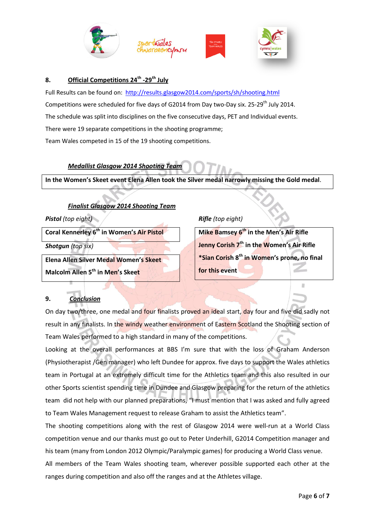







## **8. Official Competitions 24th -29th July**

Full Results can be found on: <http://results.glasgow2014.com/sports/sh/shooting.html> Competitions were scheduled for five days of G2014 from Day two-Day six. 25-29<sup>th</sup> July 2014. The schedule was split into disciplines on the five consecutive days, PET and Individual events. There were 19 separate competitions in the shooting programme; Team Wales competed in 15 of the 19 shooting competitions.

# *Medallist Glasgow 2014 Shooting Team*

**In the Women's Skeet event Elena Allen took the Silver medal narrowly missing the Gold medal**.

# *Finalist Glasgow 2014 Shooting Team*

*Pistol (top eight)*

**Coral Kennerley 6th in Women's Air Pistol** 

*Shotgun (top six)*

**Elena Allen Silver Medal Women's Skeet Malcolm Allen 5th in Men's Skeet** 

# *Rifle (top eight)*

**Mike Bamsey 6th in the Men's Air Rifle Jenny Corish 7 th in the Women's Air Rifle \*Sian Corish 8th in Women's prone, no final for this event**

m

# **9.** *Conclusion*

On day two/three, one medal and four finalists proved an ideal start, day four and five did sadly not result in any finalists. In the windy weather environment of Eastern Scotland the Shooting section of Team Wales performed to a high standard in many of the competitions.

Looking at the overall performances at BBS I'm sure that with the loss of Graham Anderson (Physiotherapist /Gen manager) who left Dundee for approx. five days to support the Wales athletics team in Portugal at an extremely difficult time for the Athletics team and this also resulted in our other Sports scientist spending time in Dundee and Glasgow preparing for the return of the athletics team did not help with our planned preparations, "I must mention that I was asked and fully agreed to Team Wales Management request to release Graham to assist the Athletics team".

The shooting competitions along with the rest of Glasgow 2014 were well-run at a World Class competition venue and our thanks must go out to Peter Underhill, G2014 Competition manager and his team (many from London 2012 Olympic/Paralympic games) for producing a World Class venue.

All members of the Team Wales shooting team, wherever possible supported each other at the ranges during competition and also off the ranges and at the Athletes village.